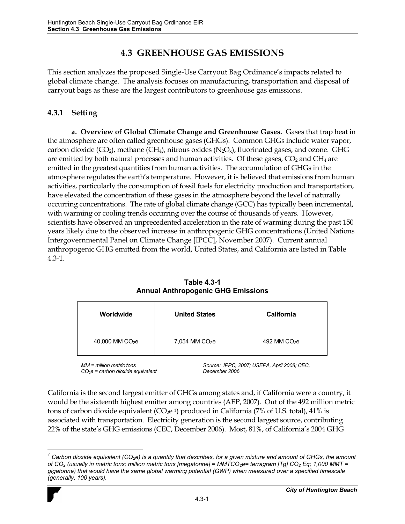# **4.3 GREENHOUSE GAS EMISSIONS**

This section analyzes the proposed Single-Use Carryout Bag Ordinance's impacts related to global climate change. The analysis focuses on manufacturing, transportation and disposal of carryout bags as these are the largest contributors to greenhouse gas emissions.

## **4.3.1 Setting**

**a. Overview of Global Climate Change and Greenhouse Gases.** Gases that trap heat in the atmosphere are often called greenhouse gases (GHGs). Common GHGs include water vapor, carbon dioxide (CO<sub>2</sub>), methane (CH<sub>4</sub>), nitrous oxides (N<sub>2</sub>O<sub>x</sub>), fluorinated gases, and ozone. GHG are emitted by both natural processes and human activities. Of these gases,  $CO<sub>2</sub>$  and  $CH<sub>4</sub>$  are emitted in the greatest quantities from human activities. The accumulation of GHGs in the atmosphere regulates the earth's temperature. However, it is believed that emissions from human activities, particularly the consumption of fossil fuels for electricity production and transportation, have elevated the concentration of these gases in the atmosphere beyond the level of naturally occurring concentrations. The rate of global climate change (GCC) has typically been incremental, with warming or cooling trends occurring over the course of thousands of years. However, scientists have observed an unprecedented acceleration in the rate of warming during the past 150 years likely due to the observed increase in anthropogenic GHG concentrations (United Nations Intergovernmental Panel on Climate Change [IPCC], November 2007).Current annual anthropogenic GHG emitted from the world, United States, and California are listed in Table 4.3-1.

| Worldwide        | <b>United States</b>       | California    |
|------------------|----------------------------|---------------|
| 40,000 MM $CO2e$ | 7,054 MM CO <sub>2</sub> e | 492 MM $CO2e$ |

| <b>Table 4.3-1</b>                        |
|-------------------------------------------|
| <b>Annual Anthropogenic GHG Emissions</b> |

*MM = million metric tons CO2e = carbon dioxide equivalent* *Source: IPPC, 2007; USEPA, April 2008; CEC, December 2006*

California is the second largest emitter of GHGs among states and, if California were a country, it would be the sixteenth highest emitter among countries (AEP, 2007). Out of the 492 million metric tons of carbon dioxide equivalent ( $CO<sub>2</sub>e<sup>1</sup>$ ) produced in California (7% of U.S. total), 41% is associated with transportation. Electricity generation is the second largest source, contributing 22% of the state's GHG emissions (CEC, December 2006). Most, 81%, of California's 2004 GHG

 $\overline{a}$ *1 Carbon dioxide equivalent (CO2e) is a quantity that describes, for a given mixture and amount of GHGs, the amount of CO<sub>2</sub> (usually in metric tons; million metric tons [megatonne] = MMTCO<sub>2</sub>e= terragram [Tg] CO<sub>2</sub> Eq; 1,000 MMT = gigatonne) that would have the same global warming potential (GWP) when measured over a specified timescale (generally, 100 years).*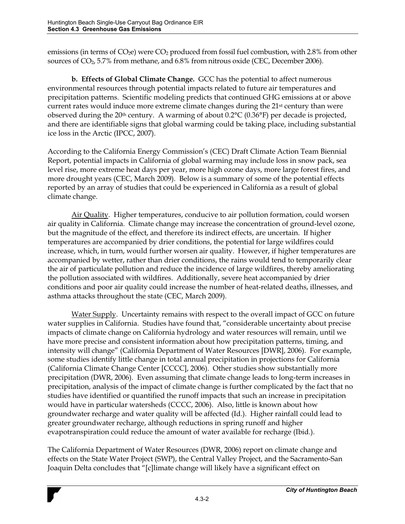emissions (in terms of CO<sub>2</sub>e) were CO<sub>2</sub> produced from fossil fuel combustion, with 2.8% from other sources of  $CO<sub>2</sub>$ , 5.7% from methane, and 6.8% from nitrous oxide (CEC, December 2006).

**b. Effects of Global Climate Change.** GCC has the potential to affect numerous environmental resources through potential impacts related to future air temperatures and precipitation patterns. Scientific modeling predicts that continued GHG emissions at or above current rates would induce more extreme climate changes during the 21<sup>st</sup> century than were observed during the 20<sup>th</sup> century. A warming of about  $0.2$ °C ( $0.36$ °F) per decade is projected, and there are identifiable signs that global warming could be taking place, including substantial ice loss in the Arctic (IPCC, 2007).

According to the California Energy Commission's (CEC) Draft Climate Action Team Biennial Report, potential impacts in California of global warming may include loss in snow pack, sea level rise, more extreme heat days per year, more high ozone days, more large forest fires, and more drought years (CEC, March 2009). Below is a summary of some of the potential effects reported by an array of studies that could be experienced in California as a result of global climate change.

Air Quality. Higher temperatures, conducive to air pollution formation, could worsen air quality in California. Climate change may increase the concentration of ground-level ozone, but the magnitude of the effect, and therefore its indirect effects, are uncertain. If higher temperatures are accompanied by drier conditions, the potential for large wildfires could increase, which, in turn, would further worsen air quality. However, if higher temperatures are accompanied by wetter, rather than drier conditions, the rains would tend to temporarily clear the air of particulate pollution and reduce the incidence of large wildfires, thereby ameliorating the pollution associated with wildfires. Additionally, severe heat accompanied by drier conditions and poor air quality could increase the number of heat-related deaths, illnesses, and asthma attacks throughout the state (CEC, March 2009).

Water Supply. Uncertainty remains with respect to the overall impact of GCC on future water supplies in California. Studies have found that, "considerable uncertainty about precise impacts of climate change on California hydrology and water resources will remain, until we have more precise and consistent information about how precipitation patterns, timing, and intensity will change" (California Department of Water Resources [DWR], 2006). For example, some studies identify little change in total annual precipitation in projections for California (California Climate Change Center [CCCC], 2006). Other studies show substantially more precipitation (DWR, 2006). Even assuming that climate change leads to long-term increases in precipitation, analysis of the impact of climate change is further complicated by the fact that no studies have identified or quantified the runoff impacts that such an increase in precipitation would have in particular watersheds (CCCC, 2006). Also, little is known about how groundwater recharge and water quality will be affected (Id.). Higher rainfall could lead to greater groundwater recharge, although reductions in spring runoff and higher evapotranspiration could reduce the amount of water available for recharge (Ibid.).

The California Department of Water Resources (DWR, 2006) report on climate change and effects on the State Water Project (SWP), the Central Valley Project, and the Sacramento-San Joaquin Delta concludes that "[c]limate change will likely have a significant effect on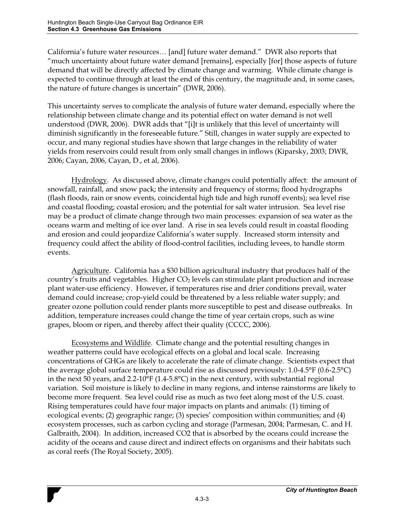California's future water resources... [and] future water demand." DWR also reports that  $\degree$  much uncertainty about future water demand [remains], especially [for] those aspects of future demand that will be directly affected by climate change and warming. While climate change is expected to continue through at least the end of this century, the magnitude and, in some cases, the nature of future changes is uncertain" (DWR, 2006).

This uncertainty serves to complicate the analysis of future water demand, especially where the relationship between climate change and its potential effect on water demand is not well understood (DWR, 2006). DWR adds that "[i]t is unlikely that this level of uncertainty will diminish significantly in the foreseeable future." Still, changes in water supply are expected to occur, and many regional studies have shown that large changes in the reliability of water yields from reservoirs could result from only small changes in inflows (Kiparsky, 2003; DWR, 2006; Cayan, 2006, Cayan, D., et al, 2006).

Hydrology. As discussed above, climate changes could potentially affect: the amount of snowfall, rainfall, and snow pack; the intensity and frequency of storms; flood hydrographs (flash floods, rain or snow events, coincidental high tide and high runoff events); sea level rise and coastal flooding; coastal erosion; and the potential for salt water intrusion. Sea level rise may be a product of climate change through two main processes: expansion of sea water as the oceans warm and melting of ice over land. A rise in sea levels could result in coastal flooding and erosion and could jeopardize California's water supply. Increased storm intensity and frequency could affect the ability of flood-control facilities, including levees, to handle storm events.

Agriculture. California has a \$30 billion agricultural industry that produces half of the country's fruits and vegetables. Higher  $CO<sub>2</sub>$  levels can stimulate plant production and increase plant water-use efficiency. However, if temperatures rise and drier conditions prevail, water demand could increase; crop-yield could be threatened by a less reliable water supply; and greater ozone pollution could render plants more susceptible to pest and disease outbreaks. In addition, temperature increases could change the time of year certain crops, such as wine grapes, bloom or ripen, and thereby affect their quality (CCCC, 2006).

Ecosystems and Wildlife. Climate change and the potential resulting changes in weather patterns could have ecological effects on a global and local scale. Increasing concentrations of GHGs are likely to accelerate the rate of climate change. Scientists expect that the average global surface temperature could rise as discussed previously: 1.0-4.5°F (0.6-2.5°C) in the next 50 years, and  $2.2{\text -}10^{\circ}F (1.4{\text -}5.8^{\circ}C)$  in the next century, with substantial regional variation. Soil moisture is likely to decline in many regions, and intense rainstorms are likely to become more frequent. Sea level could rise as much as two feet along most of the U.S. coast. Rising temperatures could have four major impacts on plants and animals: (1) timing of ecological events; (2) geographic range; (3) species' composition within communities; and (4) ecosystem processes, such as carbon cycling and storage (Parmesan, 2004; Parmesan, C. and H. Galbraith, 2004). In addition, increased CO2 that is absorbed by the oceans could increase the acidity of the oceans and cause direct and indirect effects on organisms and their habitats such as coral reefs (The Royal Society, 2005).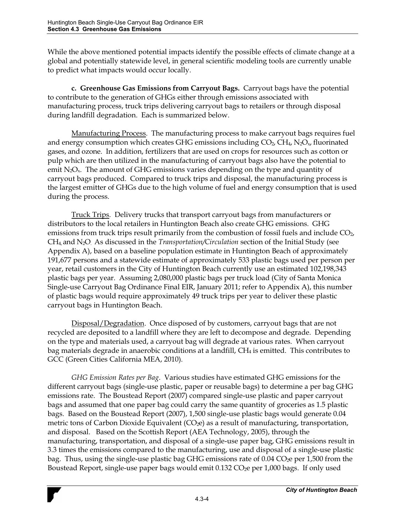While the above mentioned potential impacts identify the possible effects of climate change at a global and potentially statewide level, in general scientific modeling tools are currently unable to predict what impacts would occur locally.

 **c. Greenhouse Gas Emissions from Carryout Bags.** Carryout bags have the potential to contribute to the generation of GHGs either through emissions associated with manufacturing process, truck trips delivering carryout bags to retailers or through disposal during landfill degradation. Each is summarized below.

 Manufacturing Process. The manufacturing process to make carryout bags requires fuel and energy consumption which creates GHG emissions including  $CO<sub>2</sub>$ ,  $CH<sub>4</sub>$ , N<sub>2</sub>O<sub>x</sub>, fluorinated gases, and ozone. In addition, fertilizers that are used on crops for resources such as cotton or pulp which are then utilized in the manufacturing of carryout bags also have the potential to emit  $N_2O_x$ . The amount of GHG emissions varies depending on the type and quantity of carryout bags produced. Compared to truck trips and disposal, the manufacturing process is the largest emitter of GHGs due to the high volume of fuel and energy consumption that is used during the process.

 Truck Trips. Delivery trucks that transport carryout bags from manufacturers or distributors to the local retailers in Huntington Beach also create GHG emissions. GHG emissions from truck trips result primarily from the combustion of fossil fuels and include  $CO<sub>2</sub>$ , CH4, and N2O. As discussed in the *Transportation/Circulation* section of the Initial Study (see Appendix A), based on a baseline population estimate in Huntington Beach of approximately 191,677 persons and a statewide estimate of approximately 533 plastic bags used per person per year, retail customers in the City of Huntington Beach currently use an estimated 102,198,343 plastic bags per year. Assuming 2,080,000 plastic bags per truck load (City of Santa Monica Single-use Carryout Bag Ordinance Final EIR, January 2011; refer to Appendix A), this number of plastic bags would require approximately 49 truck trips per year to deliver these plastic carryout bags in Huntington Beach.

 Disposal/Degradation. Once disposed of by customers, carryout bags that are not recycled are deposited to a landfill where they are left to decompose and degrade. Depending on the type and materials used, a carryout bag will degrade at various rates. When carryout bag materials degrade in anaerobic conditions at a landfill, CH4 is emitted. This contributes to GCC (Green Cities California MEA, 2010).

*GHG Emission Rates per Bag*. Various studies have estimated GHG emissions for the different carryout bags (single-use plastic, paper or reusable bags) to determine a per bag GHG emissions rate. The Boustead Report (2007) compared single-use plastic and paper carryout bags and assumed that one paper bag could carry the same quantity of groceries as 1.5 plastic bags. Based on the Boustead Report (2007), 1,500 single-use plastic bags would generate 0.04 metric tons of Carbon Dioxide Equivalent  $(CO<sub>2</sub>e)$  as a result of manufacturing, transportation, and disposal. Based on the Scottish Report (AEA Technology, 2005), through the manufacturing, transportation, and disposal of a single-use paper bag, GHG emissions result in 3.3 times the emissions compared to the manufacturing, use and disposal of a single-use plastic bag. Thus, using the single-use plastic bag GHG emissions rate of 0.04 CO<sub>2</sub>e per 1,500 from the Boustead Report, single-use paper bags would emit 0.132 CO<sub>2</sub>e per 1,000 bags. If only used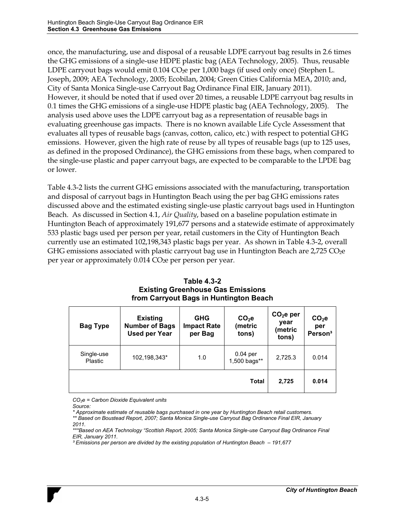once, the manufacturing, use and disposal of a reusable LDPE carryout bag results in 2.6 times the GHG emissions of a single-use HDPE plastic bag (AEA Technology, 2005). Thus, reusable LDPE carryout bags would emit  $0.104$  CO<sub>2</sub>e per 1,000 bags (if used only once) (Stephen L. Joseph, 2009; AEA Technology, 2005; Ecobilan, 2004; Green Cities California MEA, 2010; and, City of Santa Monica Single-use Carryout Bag Ordinance Final EIR, January 2011). However, it should be noted that if used over 20 times, a reusable LDPE carryout bag results in 0.1 times the GHG emissions of a single-use HDPE plastic bag (AEA Technology, 2005). The analysis used above uses the LDPE carryout bag as a representation of reusable bags in evaluating greenhouse gas impacts. There is no known available Life Cycle Assessment that evaluates all types of reusable bags (canvas, cotton, calico, etc.) with respect to potential GHG emissions. However, given the high rate of reuse by all types of reusable bags (up to 125 uses, as defined in the proposed Ordinance), the GHG emissions from these bags, when compared to the single-use plastic and paper carryout bags, are expected to be comparable to the LPDE bag or lower.

Table 4.3-2 lists the current GHG emissions associated with the manufacturing, transportation and disposal of carryout bags in Huntington Beach using the per bag GHG emissions rates discussed above and the estimated existing single-use plastic carryout bags used in Huntington Beach. As discussed in Section 4.1, *Air Quality*, based on a baseline population estimate in Huntington Beach of approximately 191,677 persons and a statewide estimate of approximately 533 plastic bags used per person per year, retail customers in the City of Huntington Beach currently use an estimated 102,198,343 plastic bags per year. As shown in Table 4.3-2, overall GHG emissions associated with plastic carryout bag use in Huntington Beach are 2,725  $CO<sub>2</sub>e$ per year or approximately 0.014 CO<sub>2</sub>e per person per year.

| <b>Bag Type</b>       | <b>Existing</b><br><b>Number of Bags</b><br><b>Used per Year</b> | <b>GHG</b><br><b>Impact Rate</b><br>per Bag | $CO2$ e<br>(metric<br>tons) | CO <sub>2</sub> e per<br>year<br>(metric<br>tons) | CO <sub>2</sub> e<br>per<br>Person <sup>3</sup> |
|-----------------------|------------------------------------------------------------------|---------------------------------------------|-----------------------------|---------------------------------------------------|-------------------------------------------------|
| Single-use<br>Plastic | 102,198,343*                                                     | 1.0                                         | $0.04$ per<br>1,500 bags**  | 2,725.3                                           | 0.014                                           |
|                       |                                                                  |                                             | <b>Total</b>                | 2,725                                             | 0.014                                           |

#### **Table 4.3-2 Existing Greenhouse Gas Emissions from Carryout Bags in Huntington Beach**

*CO2e = Carbon Dioxide Equivalent units* 

*Source:* 

*<sup>\*</sup> Approximate estimate of reusable bags purchased in one year by Huntington Beach retail customers.*

*<sup>\*\*</sup> Based on Boustead Report, 2007; Santa Monica Single-use Carryout Bag Ordinance Final EIR, January 2011.* 

<sup>\*\*\*</sup>Based on AEA Technology "Scottish Report, 2005; Santa Monica Single-use Carryout Bag Ordinance Final *EIR, January 2011.* 

*<sup>&</sup>lt;sup>3</sup> Emissions per person are divided by the existing population of Huntington Beach*  $-191,677$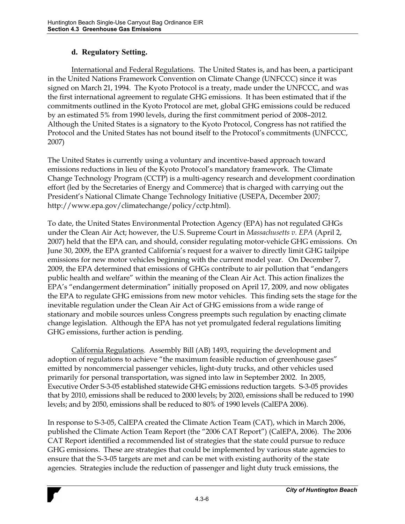### **d. Regulatory Setting.**

International and Federal Regulations. The United States is, and has been, a participant in the United Nations Framework Convention on Climate Change (UNFCCC) since it was signed on March 21, 1994. The Kyoto Protocol is a treaty, made under the UNFCCC, and was the first international agreement to regulate GHG emissions. It has been estimated that if the commitments outlined in the Kyoto Protocol are met, global GHG emissions could be reduced by an estimated 5% from 1990 levels, during the first commitment period of 2008–2012. Although the United States is a signatory to the Kyoto Protocol, Congress has not ratified the Protocol and the United States has not bound itself to the Protocol's commitments (UNFCCC, 2007)

The United States is currently using a voluntary and incentive-based approach toward emissions reductions in lieu of the Kyoto Protocol's mandatory framework. The Climate Change Technology Program (CCTP) is a multi-agency research and development coordination effort (led by the Secretaries of Energy and Commerce) that is charged with carrying out the President's National Climate Change Technology Initiative (USEPA, December 2007; http://www.epa.gov/climatechange/policy/cctp.html).

To date, the United States Environmental Protection Agency (EPA) has not regulated GHGs under the Clean Air Act; however, the U.S. Supreme Court in *Massachusetts v. EPA* (April 2, 2007) held that the EPA can, and should, consider regulating motor-vehicle GHG emissions. On June 30, 2009, the EPA granted California's request for a waiver to directly limit GHG tailpipe emissions for new motor vehicles beginning with the current model year. On December 7, 2009, the EPA determined that emissions of GHGs contribute to air pollution that "endangers public health and welfare" within the meaning of the Clean Air Act. This action finalizes the EPA's "endangerment determination" initially proposed on April 17, 2009, and now obligates the EPA to regulate GHG emissions from new motor vehicles. This finding sets the stage for the inevitable regulation under the Clean Air Act of GHG emissions from a wide range of stationary and mobile sources unless Congress preempts such regulation by enacting climate change legislation. Although the EPA has not yet promulgated federal regulations limiting GHG emissions, further action is pending.

California Regulations. Assembly Bill (AB) 1493, requiring the development and adoption of regulations to achieve "the maximum feasible reduction of greenhouse gases" emitted by noncommercial passenger vehicles, light-duty trucks, and other vehicles used primarily for personal transportation, was signed into law in September 2002. In 2005, Executive Order S-3-05 established statewide GHG emissions reduction targets. S-3-05 provides that by 2010, emissions shall be reduced to 2000 levels; by 2020, emissions shall be reduced to 1990 levels; and by 2050, emissions shall be reduced to 80% of 1990 levels (CalEPA 2006).

In response to S-3-05, CalEPA created the Climate Action Team (CAT), which in March 2006, published the Climate Action Team Report (the "2006 CAT Report") (CalEPA, 2006). The 2006 CAT Report identified a recommended list of strategies that the state could pursue to reduce GHG emissions. These are strategies that could be implemented by various state agencies to ensure that the S-3-05 targets are met and can be met with existing authority of the state agencies. Strategies include the reduction of passenger and light duty truck emissions, the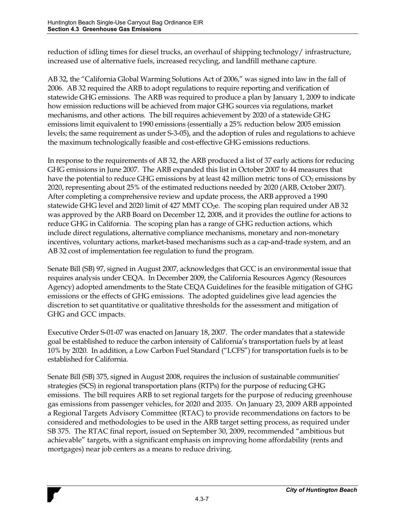reduction of idling times for diesel trucks, an overhaul of shipping technology/ infrastructure, increased use of alternative fuels, increased recycling, and landfill methane capture.

AB 32, the "California Global Warming Solutions Act of 2006," was signed into law in the fall of 2006. AB 32 required the ARB to adopt regulations to require reporting and verification of statewide GHG emissions. The ARB was required to produce a plan by January 1, 2009 to indicate how emission reductions will be achieved from major GHG sources via regulations, market mechanisms, and other actions. The bill requires achievement by 2020 of a statewide GHG emissions limit equivalent to 1990 emissions (essentially a 25% reduction below 2005 emission levels; the same requirement as under S-3-05), and the adoption of rules and regulations to achieve the maximum technologically feasible and cost-effective GHG emissions reductions.

In response to the requirements of AB 32, the ARB produced a list of 37 early actions for reducing GHG emissions in June 2007. The ARB expanded this list in October 2007 to 44 measures that have the potential to reduce GHG emissions by at least  $42$  million metric tons of  $CO<sub>2</sub>$  emissions by 2020, representing about 25% of the estimated reductions needed by 2020 (ARB, October 2007). After completing a comprehensive review and update process, the ARB approved a 1990 statewide GHG level and 2020 limit of 427 MMT CO<sub>2</sub>e. The scoping plan required under AB 32 was approved by the ARB Board on December 12, 2008, and it provides the outline for actions to reduce GHG in California. The scoping plan has a range of GHG reduction actions, which include direct regulations, alternative compliance mechanisms, monetary and non-monetary incentives, voluntary actions, market-based mechanisms such as a cap-and-trade system, and an AB 32 cost of implementation fee regulation to fund the program.

Senate Bill (SB) 97, signed in August 2007, acknowledges that GCC is an environmental issue that requires analysis under CEQA. In December 2009, the California Resources Agency (Resources Agency) adopted amendments to the State CEQA Guidelines for the feasible mitigation of GHG emissions or the effects of GHG emissions. The adopted guidelines give lead agencies the discretion to set quantitative or qualitative thresholds for the assessment and mitigation of GHG and GCC impacts.

Executive Order S-01-07 was enacted on January 18, 2007. The order mandates that a statewide goal be established to reduce the carbon intensity of California's transportation fuels by at least 10% by 2020. In addition, a Low Carbon Fuel Standard ("LCFS") for transportation fuels is to be established for California.

Senate Bill (SB) 375, signed in August 2008, requires the inclusion of sustainable communities' strategies (SCS) in regional transportation plans (RTPs) for the purpose of reducing GHG emissions. The bill requires ARB to set regional targets for the purpose of reducing greenhouse gas emissions from passenger vehicles, for 2020 and 2035. On January 23, 2009 ARB appointed a Regional Targets Advisory Committee (RTAC) to provide recommendations on factors to be considered and methodologies to be used in the ARB target setting process, as required under SB 375. The RTAC final report, issued on September 30, 2009, recommended "ambitious but achievable" targets, with a significant emphasis on improving home affordability (rents and mortgages) near job centers as a means to reduce driving.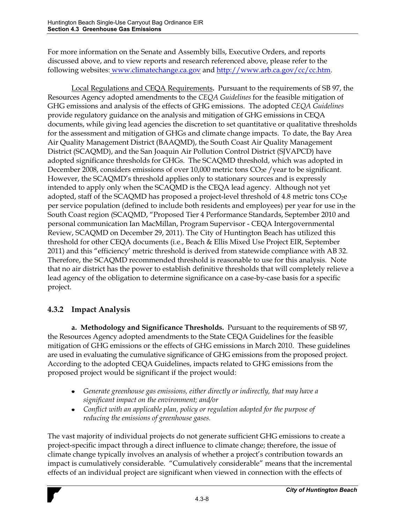For more information on the Senate and Assembly bills, Executive Orders, and reports discussed above, and to view reports and research referenced above, please refer to the following websites: www.climatechange.ca.gov and http://www.arb.ca.gov/cc/cc.htm.

Local Regulations and CEQA Requirements**.** Pursuant to the requirements of SB 97, the Resources Agency adopted amendments to the *CEQA Guidelines* for the feasible mitigation of GHG emissions and analysis of the effects of GHG emissions. The adopted *CEQA Guidelines* provide regulatory guidance on the analysis and mitigation of GHG emissions in CEQA documents, while giving lead agencies the discretion to set quantitative or qualitative thresholds for the assessment and mitigation of GHGs and climate change impacts. To date, the Bay Area Air Quality Management District (BAAQMD), the South Coast Air Quality Management District (SCAQMD), and the San Joaquin Air Pollution Control District (SJVAPCD) have adopted significance thresholds for GHGs. The SCAQMD threshold, which was adopted in December 2008, considers emissions of over 10,000 metric tons  $CO<sub>2</sub>e$  /year to be significant. However, the SCAQMD's threshold applies only to stationary sources and is expressly intended to apply only when the SCAQMD is the CEQA lead agency. Although not yet adopted, staff of the SCAQMD has proposed a project-level threshold of 4.8 metric tons  $CO<sub>2</sub>e$ per service population (defined to include both residents and employees) per year for use in the South Coast region (SCAQMD, "Proposed Tier 4 Performance Standards, September 2010 and personal communication Ian MacMillan, Program Supervisor - CEQA Intergovernmental Review, SCAQMD on December 29, 2011). The City of Huntington Beach has utilized this threshold for other CEQA documents (i.e., Beach & Ellis Mixed Use Project EIR, September 2011) and this "efficiency' metric threshold is derived from statewide compliance with AB 32. Therefore, the SCAQMD recommended threshold is reasonable to use for this analysis. Note that no air district has the power to establish definitive thresholds that will completely relieve a lead agency of the obligation to determine significance on a case-by-case basis for a specific project.

## **4.3.2 Impact Analysis**

**a. Methodology and Significance Thresholds.** Pursuant to the requirements of SB 97, the Resources Agency adopted amendments to the State CEQA Guidelines for the feasible mitigation of GHG emissions or the effects of GHG emissions in March 2010. These guidelines are used in evaluating the cumulative significance of GHG emissions from the proposed project. According to the adopted CEQA Guidelines, impacts related to GHG emissions from the proposed project would be significant if the project would:

- *Generate greenhouse gas emissions, either directly or indirectly, that may have a significant impact on the environment; and/or*
- *Conflict with an applicable plan, policy or regulation adopted for the purpose of reducing the emissions of greenhouse gases.*

The vast majority of individual projects do not generate sufficient GHG emissions to create a project-specific impact through a direct influence to climate change; therefore, the issue of climate change typically involves an analysis of whether a project's contribution towards an impact is cumulatively considerable. "Cumulatively considerable" means that the incremental effects of an individual project are significant when viewed in connection with the effects of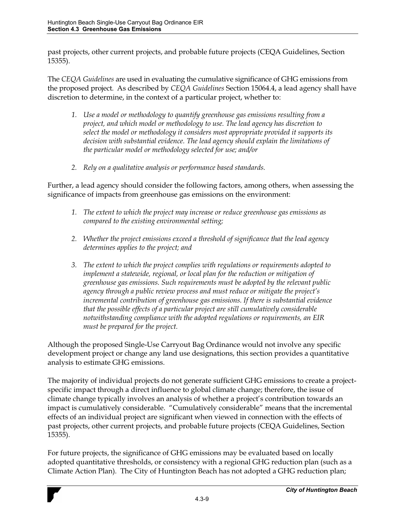past projects, other current projects, and probable future projects (CEQA Guidelines, Section 15355).

The *CEQA Guidelines* are used in evaluating the cumulative significance of GHG emissions from the proposed project. As described by *CEQA Guidelines* Section 15064.4, a lead agency shall have discretion to determine, in the context of a particular project, whether to:

- *1. Use a model or methodology to quantify greenhouse gas emissions resulting from a project, and which model or methodology to use. The lead agency has discretion to select the model or methodology it considers most appropriate provided it supports its decision with substantial evidence. The lead agency should explain the limitations of the particular model or methodology selected for use; and/or*
- *2. Rely on a qualitative analysis or performance based standards.*

Further, a lead agency should consider the following factors, among others, when assessing the significance of impacts from greenhouse gas emissions on the environment:

- *1. The extent to which the project may increase or reduce greenhouse gas emissions as compared to the existing environmental setting;*
- *2. Whether the project emissions exceed a threshold of significance that the lead agency determines applies to the project; and*
- *3. The extent to which the project complies with regulations or requirements adopted to implement a statewide, regional, or local plan for the reduction or mitigation of greenhouse gas emissions. Such requirements must be adopted by the relevant public*  agency through a public review process and must reduce or mitigate the project's *incremental contribution of greenhouse gas emissions. If there is substantial evidence that the possible effects of a particular project are still cumulatively considerable notwithstanding compliance with the adopted regulations or requirements, an EIR must be prepared for the project.*

Although the proposed Single-Use Carryout Bag Ordinance would not involve any specific development project or change any land use designations, this section provides a quantitative analysis to estimate GHG emissions.

The majority of individual projects do not generate sufficient GHG emissions to create a projectspecific impact through a direct influence to global climate change; therefore, the issue of climate change typically involves an analysis of whether a project's contribution towards an impact is cumulatively considerable. "Cumulatively considerable" means that the incremental effects of an individual project are significant when viewed in connection with the effects of past projects, other current projects, and probable future projects (CEQA Guidelines, Section 15355).

For future projects, the significance of GHG emissions may be evaluated based on locally adopted quantitative thresholds, or consistency with a regional GHG reduction plan (such as a Climate Action Plan). The City of Huntington Beach has not adopted a GHG reduction plan;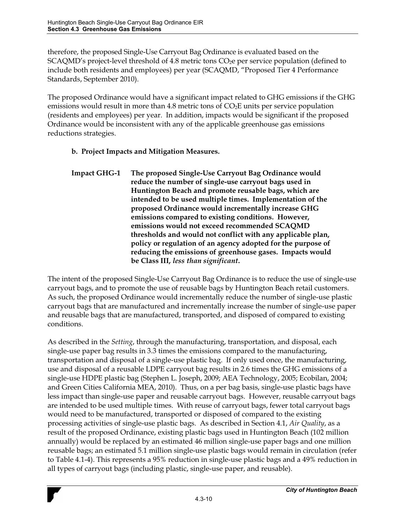therefore, the proposed Single-Use Carryout Bag Ordinance is evaluated based on the  $SCAQMD's$  project-level threshold of 4.8 metric tons  $CO<sub>2</sub>e$  per service population (defined to include both residents and employees) per year (SCAQMD, "Proposed Tier 4 Performance Standards, September 2010).

The proposed Ordinance would have a significant impact related to GHG emissions if the GHG emissions would result in more than 4.8 metric tons of  $CO<sub>2</sub>E$  units per service population (residents and employees) per year. In addition, impacts would be significant if the proposed Ordinance would be inconsistent with any of the applicable greenhouse gas emissions reductions strategies.

### **b. Project Impacts and Mitigation Measures.**

**Impact GHG-1 The proposed Single-Use Carryout Bag Ordinance would reduce the number of single-use carryout bags used in Huntington Beach and promote reusable bags, which are intended to be used multiple times. Implementation of the proposed Ordinance would incrementally increase GHG emissions compared to existing conditions. However, emissions would not exceed recommended SCAQMD thresholds and would not conflict with any applicable plan, policy or regulation of an agency adopted for the purpose of reducing the emissions of greenhouse gases. Impacts would be Class III,** *less than significant***.** 

The intent of the proposed Single-Use Carryout Bag Ordinance is to reduce the use of single-use carryout bags, and to promote the use of reusable bags by Huntington Beach retail customers. As such, the proposed Ordinance would incrementally reduce the number of single-use plastic carryout bags that are manufactured and incrementally increase the number of single-use paper and reusable bags that are manufactured, transported, and disposed of compared to existing conditions.

As described in the *Setting*, through the manufacturing, transportation, and disposal, each single-use paper bag results in 3.3 times the emissions compared to the manufacturing, transportation and disposal of a single-use plastic bag. If only used once, the manufacturing, use and disposal of a reusable LDPE carryout bag results in 2.6 times the GHG emissions of a single-use HDPE plastic bag (Stephen L. Joseph, 2009; AEA Technology, 2005; Ecobilan, 2004; and Green Cities California MEA, 2010). Thus, on a per bag basis, single-use plastic bags have less impact than single-use paper and reusable carryout bags. However, reusable carryout bags are intended to be used multiple times. With reuse of carryout bags, fewer total carryout bags would need to be manufactured, transported or disposed of compared to the existing processing activities of single-use plastic bags. As described in Section 4.1, *Air Quality*, as a result of the proposed Ordinance, existing plastic bags used in Huntington Beach (102 million annually) would be replaced by an estimated 46 million single-use paper bags and one million reusable bags; an estimated 5.1 million single-use plastic bags would remain in circulation (refer to Table 4.1-4). This represents a 95% reduction in single-use plastic bags and a 49% reduction in all types of carryout bags (including plastic, single-use paper, and reusable).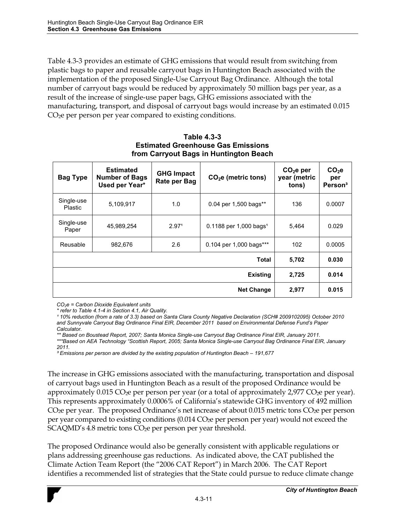Table 4.3-3 provides an estimate of GHG emissions that would result from switching from plastic bags to paper and reusable carryout bags in Huntington Beach associated with the implementation of the proposed Single-Use Carryout Bag Ordinance. Although the total number of carryout bags would be reduced by approximately 50 million bags per year, as a result of the increase of single-use paper bags, GHG emissions associated with the manufacturing, transport, and disposal of carryout bags would increase by an estimated 0.015 CO<sub>2</sub>e per person per year compared to existing conditions.

| <b>Bag Type</b>       | <b>Estimated</b><br><b>Number of Bags</b><br>Used per Year* | <b>GHG Impact</b><br>Rate per Bag | $CO2e$ (metric tons)                 | CO <sub>2</sub> e per<br>year (metric<br>tons) | $CO2$ e<br>per<br>Person <sup>3</sup> |
|-----------------------|-------------------------------------------------------------|-----------------------------------|--------------------------------------|------------------------------------------------|---------------------------------------|
| Single-use<br>Plastic | 5,109,917                                                   | 1.0                               | 0.04 per 1,500 bags**                | 136                                            | 0.0007                                |
| Single-use<br>Paper   | 45,989,254                                                  | 2.97 <sup>1</sup>                 | $0.1188$ per 1,000 bags <sup>1</sup> | 5,464                                          | 0.029                                 |
| Reusable              | 982.676                                                     | 2.6                               | 0.104 per 1,000 bags***              | 102 <sub>2</sub>                               | 0.0005                                |
| <b>Total</b>          |                                                             |                                   | 5.702                                | 0.030                                          |                                       |
| <b>Existing</b>       |                                                             |                                   | 2,725                                | 0.014                                          |                                       |
| <b>Net Change</b>     |                                                             |                                   | 2,977                                | 0.015                                          |                                       |

**Table 4.3-3 Estimated Greenhouse Gas Emissions from Carryout Bags in Huntington Beach**

*CO2e = Carbon Dioxide Equivalent units* 

*¹ 10% reduction (from a rate of 3.3) based on Santa Clara County Negative Declaration (SCH# 2009102095) October 2010*  and Sunnyvale Carryout Bag Ordinance Final EIR, December 2011 based on Environmental Defense Fund's Paper *Calculator.* 

*\*\* Based on Boustead Report, 2007; Santa Monica Single-use Carryout Bag Ordinance Final EIR, January 2011.* 

\*\*\*Based on AEA Technology "Scottish Report, 2005; Santa Monica Single-use Carryout Bag Ordinance Final EIR, January *2011.* 

*<sup>3</sup> Emissions per person are divided by the existing population of Huntington Beach - 191,677* 

The increase in GHG emissions associated with the manufacturing, transportation and disposal of carryout bags used in Huntington Beach as a result of the proposed Ordinance would be approximately  $0.015 \text{ CO}_2$ e per person per year (or a total of approximately 2,977  $\text{CO}_2$ e per year). This represents approximately 0.0006% of California's statewide GHG inventory of 492 million CO<sub>2</sub>e per year. The proposed Ordinance's net increase of about 0.015 metric tons CO<sub>2</sub>e per person per year compared to existing conditions  $(0.014 \text{ CO}_2$ e per person per year) would not exceed the  $SCAQMD's 4.8$  metric tons  $CO<sub>2</sub>e$  per person per year threshold.

The proposed Ordinance would also be generally consistent with applicable regulations or plans addressing greenhouse gas reductions. As indicated above, the CAT published the Climate Action Team Report (the "2006 CAT Report") in March 2006. The CAT Report identifies a recommended list of strategies that the State could pursue to reduce climate change

*<sup>\*</sup> refer to Table 4.1-4 in Section 4.1, Air Quality.*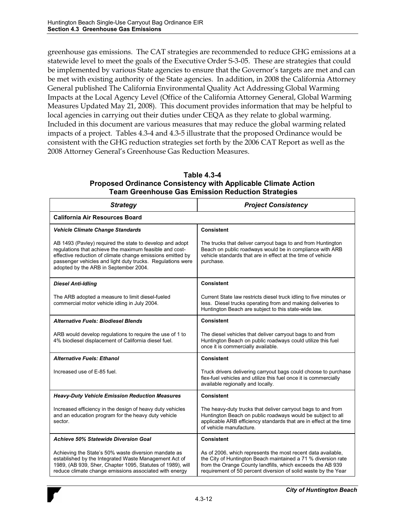greenhouse gas emissions. The CAT strategies are recommended to reduce GHG emissions at a statewide level to meet the goals of the Executive Order S-3-05. These are strategies that could be implemented by various State agencies to ensure that the Governor's targets are met and can be met with existing authority of the State agencies. In addition, in 2008 the California Attorney General published The California Environmental Quality Act Addressing Global Warming Impacts at the Local Agency Level (Office of the California Attorney General, Global Warming Measures Updated May 21, 2008). This document provides information that may be helpful to local agencies in carrying out their duties under CEQA as they relate to global warming. Included in this document are various measures that may reduce the global warming related impacts of a project. Tables 4.3-4 and 4.3-5 illustrate that the proposed Ordinance would be consistent with the GHG reduction strategies set forth by the 2006 CAT Report as well as the 2008 Attorney General's Greenhouse Gas Reduction Measures.

| Table 4.3-4                                                          |
|----------------------------------------------------------------------|
| <b>Proposed Ordinance Consistency with Applicable Climate Action</b> |
| <b>Team Greenhouse Gas Emission Reduction Strategies</b>             |

| <b>Strategy</b>                                                                                                                                                                                                                                                                          | <b>Project Consistency</b>                                                                                                                                                                                                                                    |  |  |
|------------------------------------------------------------------------------------------------------------------------------------------------------------------------------------------------------------------------------------------------------------------------------------------|---------------------------------------------------------------------------------------------------------------------------------------------------------------------------------------------------------------------------------------------------------------|--|--|
| <b>California Air Resources Board</b>                                                                                                                                                                                                                                                    |                                                                                                                                                                                                                                                               |  |  |
| <b>Vehicle Climate Change Standards</b>                                                                                                                                                                                                                                                  | <b>Consistent</b>                                                                                                                                                                                                                                             |  |  |
| AB 1493 (Pavley) required the state to develop and adopt<br>regulations that achieve the maximum feasible and cost-<br>effective reduction of climate change emissions emitted by<br>passenger vehicles and light duty trucks. Regulations were<br>adopted by the ARB in September 2004. | The trucks that deliver carryout bags to and from Huntington<br>Beach on public roadways would be in compliance with ARB<br>vehicle standards that are in effect at the time of vehicle<br>purchase.                                                          |  |  |
| <b>Diesel Anti-Idling</b>                                                                                                                                                                                                                                                                | <b>Consistent</b>                                                                                                                                                                                                                                             |  |  |
| The ARB adopted a measure to limit diesel-fueled<br>commercial motor vehicle idling in July 2004.                                                                                                                                                                                        | Current State law restricts diesel truck idling to five minutes or<br>less. Diesel trucks operating from and making deliveries to<br>Huntington Beach are subject to this state-wide law.                                                                     |  |  |
| <b>Alternative Fuels: Biodiesel Blends</b>                                                                                                                                                                                                                                               | <b>Consistent</b>                                                                                                                                                                                                                                             |  |  |
| ARB would develop regulations to require the use of 1 to<br>4% biodiesel displacement of California diesel fuel.                                                                                                                                                                         | The diesel vehicles that deliver carryout bags to and from<br>Huntington Beach on public roadways could utilize this fuel<br>once it is commercially available.                                                                                               |  |  |
| <b>Alternative Fuels: Ethanol</b>                                                                                                                                                                                                                                                        | Consistent                                                                                                                                                                                                                                                    |  |  |
| Increased use of E-85 fuel.                                                                                                                                                                                                                                                              | Truck drivers delivering carryout bags could choose to purchase<br>flex-fuel vehicles and utilize this fuel once it is commercially<br>available regionally and locally.                                                                                      |  |  |
| <b>Heavy-Duty Vehicle Emission Reduction Measures</b>                                                                                                                                                                                                                                    | <b>Consistent</b>                                                                                                                                                                                                                                             |  |  |
| Increased efficiency in the design of heavy duty vehicles<br>and an education program for the heavy duty vehicle<br>sector.                                                                                                                                                              | The heavy-duty trucks that deliver carryout bags to and from<br>Huntington Beach on public roadways would be subject to all<br>applicable ARB efficiency standards that are in effect at the time<br>of vehicle manufacture.                                  |  |  |
| <b>Achieve 50% Statewide Diversion Goal</b>                                                                                                                                                                                                                                              | Consistent                                                                                                                                                                                                                                                    |  |  |
| Achieving the State's 50% waste diversion mandate as<br>established by the Integrated Waste Management Act of<br>1989, (AB 939, Sher, Chapter 1095, Statutes of 1989), will<br>reduce climate change emissions associated with energy                                                    | As of 2006, which represents the most recent data available,<br>the City of Huntington Beach maintained a 71 % diversion rate<br>from the Orange County landfills, which exceeds the AB 939<br>requirement of 50 percent diversion of solid waste by the Year |  |  |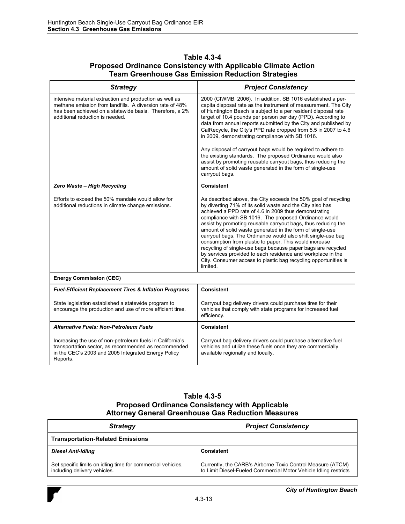#### **Table 4.3-4 Proposed Ordinance Consistency with Applicable Climate Action Team Greenhouse Gas Emission Reduction Strategies**

| <b>Strategy</b>                                                                                                                                                                                                   | <b>Project Consistency</b>                                                                                                                                                                                                                                                                                                                                                                                                                                                                                                                                                                                                                                                                                                             |
|-------------------------------------------------------------------------------------------------------------------------------------------------------------------------------------------------------------------|----------------------------------------------------------------------------------------------------------------------------------------------------------------------------------------------------------------------------------------------------------------------------------------------------------------------------------------------------------------------------------------------------------------------------------------------------------------------------------------------------------------------------------------------------------------------------------------------------------------------------------------------------------------------------------------------------------------------------------------|
| intensive material extraction and production as well as<br>methane emission from landfills. A diversion rate of 48%<br>has been achieved on a statewide basis. Therefore, a 2%<br>additional reduction is needed. | 2000 (CIWMB, 2006). In addition, SB 1016 established a per-<br>capita disposal rate as the instrument of measurement. The City<br>of Huntington Beach is subject to a per resident disposal rate<br>target of 10.4 pounds per person per day (PPD). According to<br>data from annual reports submitted by the City and published by<br>CalRecycle, the City's PPD rate dropped from 5.5 in 2007 to 4.6<br>in 2009, demonstrating compliance with SB 1016.<br>Any disposal of carryout bags would be required to adhere to<br>the existing standards. The proposed Ordinance would also<br>assist by promoting reusable carryout bags, thus reducing the<br>amount of solid waste generated in the form of single-use<br>carryout bags. |
| Zero Waste - High Recycling                                                                                                                                                                                       | <b>Consistent</b>                                                                                                                                                                                                                                                                                                                                                                                                                                                                                                                                                                                                                                                                                                                      |
| Efforts to exceed the 50% mandate would allow for<br>additional reductions in climate change emissions.                                                                                                           | As described above, the City exceeds the 50% goal of recycling<br>by diverting 71% of its solid waste and the City also has<br>achieved a PPD rate of 4.6 in 2009 thus demonstrating<br>compliance with SB 1016. The proposed Ordinance would<br>assist by promoting reusable carryout bags, thus reducing the<br>amount of solid waste generated in the form of single-use<br>carryout bags. The Ordinance would also shift single-use bag<br>consumption from plastic to paper. This would increase<br>recycling of single-use bags because paper bags are recycled<br>by services provided to each residence and workplace in the<br>City. Consumer access to plastic bag recycling opportunities is<br>limited.                    |
| <b>Energy Commission (CEC)</b>                                                                                                                                                                                    |                                                                                                                                                                                                                                                                                                                                                                                                                                                                                                                                                                                                                                                                                                                                        |
| <b>Fuel-Efficient Replacement Tires &amp; Inflation Programs</b>                                                                                                                                                  | <b>Consistent</b>                                                                                                                                                                                                                                                                                                                                                                                                                                                                                                                                                                                                                                                                                                                      |
| State legislation established a statewide program to<br>encourage the production and use of more efficient tires.                                                                                                 | Carryout bag delivery drivers could purchase tires for their<br>vehicles that comply with state programs for increased fuel<br>efficiency.                                                                                                                                                                                                                                                                                                                                                                                                                                                                                                                                                                                             |
| <b>Alternative Fuels: Non-Petroleum Fuels</b>                                                                                                                                                                     | <b>Consistent</b>                                                                                                                                                                                                                                                                                                                                                                                                                                                                                                                                                                                                                                                                                                                      |
| Increasing the use of non-petroleum fuels in California's<br>transportation sector, as recommended as recommended<br>in the CEC's 2003 and 2005 Integrated Energy Policy<br>Reports.                              | Carryout bag delivery drivers could purchase alternative fuel<br>vehicles and utilize these fuels once they are commercially<br>available regionally and locally.                                                                                                                                                                                                                                                                                                                                                                                                                                                                                                                                                                      |

### **Table 4.3-5 Proposed Ordinance Consistency with Applicable Attorney General Greenhouse Gas Reduction Measures**

| <b>Strategy</b>                                                                             | <b>Project Consistency</b>                                                                                                      |
|---------------------------------------------------------------------------------------------|---------------------------------------------------------------------------------------------------------------------------------|
| <b>Transportation-Related Emissions</b>                                                     |                                                                                                                                 |
| <b>Diesel Anti-Idling</b>                                                                   | Consistent                                                                                                                      |
| Set specific limits on idling time for commercial vehicles,<br>including delivery vehicles. | Currently, the CARB's Airborne Toxic Control Measure (ATCM)<br>to Limit Diesel-Fueled Commercial Motor Vehicle Idling restricts |